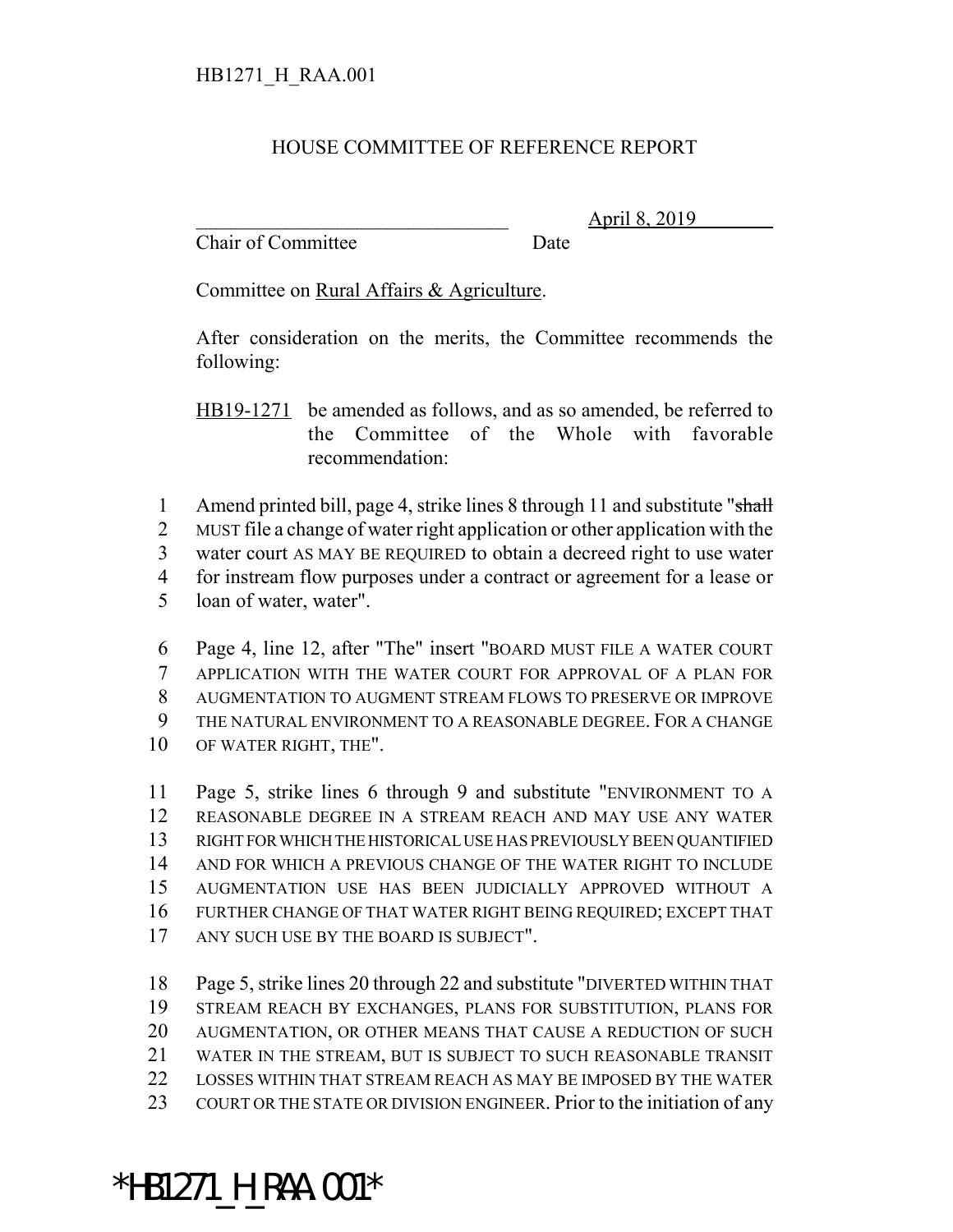## HOUSE COMMITTEE OF REFERENCE REPORT

Chair of Committee Date

\_\_\_\_\_\_\_\_\_\_\_\_\_\_\_\_\_\_\_\_\_\_\_\_\_\_\_\_\_\_\_ April 8, 2019

Committee on Rural Affairs & Agriculture.

After consideration on the merits, the Committee recommends the following:

HB19-1271 be amended as follows, and as so amended, be referred to the Committee of the Whole with favorable recommendation:

1 Amend printed bill, page 4, strike lines 8 through 11 and substitute "shall

MUST file a change of water right application or other application with the

water court AS MAY BE REQUIRED to obtain a decreed right to use water

for instream flow purposes under a contract or agreement for a lease or

loan of water, water".

 Page 4, line 12, after "The" insert "BOARD MUST FILE A WATER COURT APPLICATION WITH THE WATER COURT FOR APPROVAL OF A PLAN FOR AUGMENTATION TO AUGMENT STREAM FLOWS TO PRESERVE OR IMPROVE THE NATURAL ENVIRONMENT TO A REASONABLE DEGREE. FOR A CHANGE OF WATER RIGHT, THE".

 Page 5, strike lines 6 through 9 and substitute "ENVIRONMENT TO A REASONABLE DEGREE IN A STREAM REACH AND MAY USE ANY WATER RIGHT FOR WHICH THE HISTORICAL USE HAS PREVIOUSLY BEEN QUANTIFIED AND FOR WHICH A PREVIOUS CHANGE OF THE WATER RIGHT TO INCLUDE AUGMENTATION USE HAS BEEN JUDICIALLY APPROVED WITHOUT A FURTHER CHANGE OF THAT WATER RIGHT BEING REQUIRED; EXCEPT THAT ANY SUCH USE BY THE BOARD IS SUBJECT".

 Page 5, strike lines 20 through 22 and substitute "DIVERTED WITHIN THAT STREAM REACH BY EXCHANGES, PLANS FOR SUBSTITUTION, PLANS FOR AUGMENTATION, OR OTHER MEANS THAT CAUSE A REDUCTION OF SUCH WATER IN THE STREAM, BUT IS SUBJECT TO SUCH REASONABLE TRANSIT LOSSES WITHIN THAT STREAM REACH AS MAY BE IMPOSED BY THE WATER 23 COURT OR THE STATE OR DIVISION ENGINEER. Prior to the initiation of any

## \*HB1271\_H\_RAA.001\*